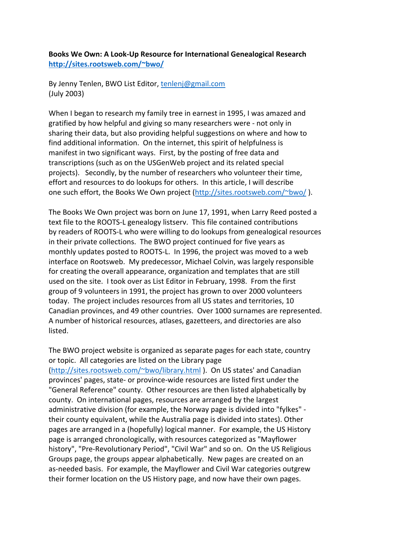**Books We Own: A Look-Up Resource for International Genealogical Research http://sites.rootsweb.com/~bwo/**

By Jenny Tenlen, BWO List Editor, tenlenj@gmail.com (July 2003)

When I began to research my family tree in earnest in 1995, I was amazed and gratified by how helpful and giving so many researchers were - not only in sharing their data, but also providing helpful suggestions on where and how to find additional information. On the internet, this spirit of helpfulness is manifest in two significant ways. First, by the posting of free data and transcriptions (such as on the USGenWeb project and its related special projects). Secondly, by the number of researchers who volunteer their time, effort and resources to do lookups for others. In this article, I will describe one such effort, the Books We Own project (http://sites.rootsweb.com/~bwo/ ).

The Books We Own project was born on June 17, 1991, when Larry Reed posted a text file to the ROOTS-L genealogy listserv. This file contained contributions by readers of ROOTS-L who were willing to do lookups from genealogical resources in their private collections. The BWO project continued for five years as monthly updates posted to ROOTS-L. In 1996, the project was moved to a web interface on Rootsweb. My predecessor, Michael Colvin, was largely responsible for creating the overall appearance, organization and templates that are still used on the site. I took over as List Editor in February, 1998. From the first group of 9 volunteers in 1991, the project has grown to over 2000 volunteers today. The project includes resources from all US states and territories, 10 Canadian provinces, and 49 other countries. Over 1000 surnames are represented. A number of historical resources, atlases, gazetteers, and directories are also listed.

The BWO project website is organized as separate pages for each state, country or topic. All categories are listed on the Library page (http://sites.rootsweb.com/~bwo/library.html ). On US states' and Canadian provinces' pages, state- or province-wide resources are listed first under the "General Reference" county. Other resources are then listed alphabetically by county. On international pages, resources are arranged by the largest administrative division (for example, the Norway page is divided into "fylkes" their county equivalent, while the Australia page is divided into states). Other pages are arranged in a (hopefully) logical manner. For example, the US History page is arranged chronologically, with resources categorized as "Mayflower history", "Pre-Revolutionary Period", "Civil War" and so on. On the US Religious Groups page, the groups appear alphabetically. New pages are created on an as-needed basis. For example, the Mayflower and Civil War categories outgrew their former location on the US History page, and now have their own pages.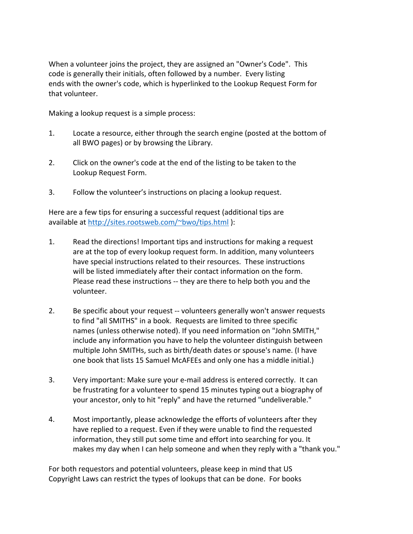When a volunteer joins the project, they are assigned an "Owner's Code". This code is generally their initials, often followed by a number. Every listing ends with the owner's code, which is hyperlinked to the Lookup Request Form for that volunteer.

Making a lookup request is a simple process:

- 1. Locate a resource, either through the search engine (posted at the bottom of all BWO pages) or by browsing the Library.
- 2. Click on the owner's code at the end of the listing to be taken to the Lookup Request Form.
- 3. Follow the volunteer's instructions on placing a lookup request.

Here are a few tips for ensuring a successful request (additional tips are available at http://sites.rootsweb.com/~bwo/tips.html ):

- 1. Read the directions! Important tips and instructions for making a request are at the top of every lookup request form. In addition, many volunteers have special instructions related to their resources. These instructions will be listed immediately after their contact information on the form. Please read these instructions -- they are there to help both you and the volunteer.
- 2. Be specific about your request -- volunteers generally won't answer requests to find "all SMITHS" in a book. Requests are limited to three specific names (unless otherwise noted). If you need information on "John SMITH," include any information you have to help the volunteer distinguish between multiple John SMITHs, such as birth/death dates or spouse's name. (I have one book that lists 15 Samuel McAFEEs and only one has a middle initial.)
- 3. Very important: Make sure your e-mail address is entered correctly. It can be frustrating for a volunteer to spend 15 minutes typing out a biography of your ancestor, only to hit "reply" and have the returned "undeliverable."
- 4. Most importantly, please acknowledge the efforts of volunteers after they have replied to a request. Even if they were unable to find the requested information, they still put some time and effort into searching for you. It makes my day when I can help someone and when they reply with a "thank you."

For both requestors and potential volunteers, please keep in mind that US Copyright Laws can restrict the types of lookups that can be done. For books